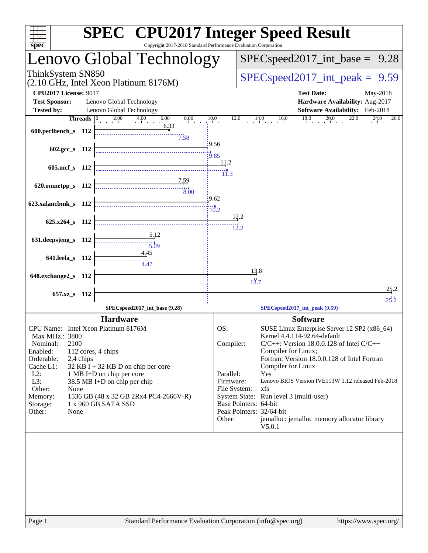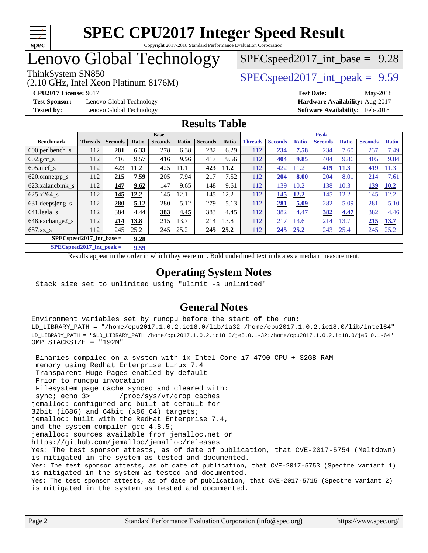

# Lenovo Global Technology

(2.10 GHz, Intel Xeon Platinum 8176M)

ThinkSystem SN850<br>  $SPEC speed2017$  int\_peak = 9.59

 $SPECspeed2017\_int\_base = 9.28$ 

**[Test Sponsor:](http://www.spec.org/auto/cpu2017/Docs/result-fields.html#TestSponsor)** Lenovo Global Technology **[Hardware Availability:](http://www.spec.org/auto/cpu2017/Docs/result-fields.html#HardwareAvailability)** Aug-2017 **[Tested by:](http://www.spec.org/auto/cpu2017/Docs/result-fields.html#Testedby)** Lenovo Global Technology **[Software Availability:](http://www.spec.org/auto/cpu2017/Docs/result-fields.html#SoftwareAvailability)** Feb-2018

**[CPU2017 License:](http://www.spec.org/auto/cpu2017/Docs/result-fields.html#CPU2017License)** 9017 **[Test Date:](http://www.spec.org/auto/cpu2017/Docs/result-fields.html#TestDate)** May-2018

### **[Results Table](http://www.spec.org/auto/cpu2017/Docs/result-fields.html#ResultsTable)**

|                                     | <b>Base</b>    |                |              |                | <b>Peak</b> |                |       |                |                |              |                |              |                |              |
|-------------------------------------|----------------|----------------|--------------|----------------|-------------|----------------|-------|----------------|----------------|--------------|----------------|--------------|----------------|--------------|
| <b>Benchmark</b>                    | <b>Threads</b> | <b>Seconds</b> | <b>Ratio</b> | <b>Seconds</b> | Ratio       | <b>Seconds</b> | Ratio | <b>Threads</b> | <b>Seconds</b> | <b>Ratio</b> | <b>Seconds</b> | <b>Ratio</b> | <b>Seconds</b> | <b>Ratio</b> |
| $600.$ perlbench $\mathsf{S}$       | 112            | 281            | 6.33         | 278            | 6.38        | 282            | 6.29  | 112            | 234            | 7.58         | 234            | 7.60         | 237            | 7.49         |
| $602 \text{.} \text{gcc}\text{.}$ s | 112            | 416            | 9.57         | 416            | 9.56        | 417            | 9.56  | 112            | 404            | 9.85         | 404            | 9.86         | 405            | 9.84         |
| $605$ .mcf s                        | 112            | 423            | 11.2         | 425            | 11.1        | 423            | 11.2  | 112            | 422            | 11.2         | <u>419</u>     | 11.3         | 419            | 1.3          |
| 620.omnetpp_s                       | 112            | 215            | 7.59         | 205            | 7.94        | 217            | 7.52  | 112            | 204            | 8.00         | 204            | 8.01         | 214            | 7.61         |
| 623.xalancbmk s                     | 112            | 147            | 9.62         | 147            | 9.65        | 148            | 9.61  | 112            | 139            | 10.2         | 138            | 10.3         | 139            | 10.2         |
| $625.x264$ s                        | 112            | 145            | 12.2         | 145            | 12.1        | 145            | 12.2  | 112            | 145            | 12.2         | 145            | 12.2         | 145            | 12.2         |
| 631.deepsjeng_s                     | 112            | 280            | 5.12         | 280            | 5.12        | 279            | 5.13  | 112            | 281            | 5.09         | 282            | 5.09         | 281            | 5.10         |
| 641.leela s                         | 112            | 384            | 4.44         | 383            | 4.45        | 383            | 4.45  | 112            | 382            | 4.47         | 382            | 4.47         | 382            | 4.46         |
| 648.exchange2_s                     | 112            | 214            | 13.8         | 215            | 13.7        | 214            | 13.8  | 112            | 217            | 13.6         | 214            | 13.7         | 215            | 13.7         |
| $657.xz$ s                          | 112            | 245            | 25.2         | 245            | 25.2        | 245            | 25.2  | 112            | 245            | 25.2         | 243            | 25.4         | 245            | 25.2         |
| $SPECspeed2017$ int base =<br>9.28  |                |                |              |                |             |                |       |                |                |              |                |              |                |              |

**[SPECspeed2017\\_int\\_peak =](http://www.spec.org/auto/cpu2017/Docs/result-fields.html#SPECspeed2017intpeak) 9.59**

Results appear in the [order in which they were run.](http://www.spec.org/auto/cpu2017/Docs/result-fields.html#RunOrder) Bold underlined text [indicates a median measurement](http://www.spec.org/auto/cpu2017/Docs/result-fields.html#Median).

### **[Operating System Notes](http://www.spec.org/auto/cpu2017/Docs/result-fields.html#OperatingSystemNotes)**

Stack size set to unlimited using "ulimit -s unlimited"

### **[General Notes](http://www.spec.org/auto/cpu2017/Docs/result-fields.html#GeneralNotes)**

Environment variables set by runcpu before the start of the run: LD\_LIBRARY\_PATH = "/home/cpu2017.1.0.2.ic18.0/lib/ia32:/home/cpu2017.1.0.2.ic18.0/lib/intel64" LD\_LIBRARY\_PATH = "\$LD\_LIBRARY\_PATH:/home/cpu2017.1.0.2.ic18.0/je5.0.1-32:/home/cpu2017.1.0.2.ic18.0/je5.0.1-64" OMP\_STACKSIZE = "192M"

 Binaries compiled on a system with 1x Intel Core i7-4790 CPU + 32GB RAM memory using Redhat Enterprise Linux 7.4 Transparent Huge Pages enabled by default Prior to runcpu invocation Filesystem page cache synced and cleared with: sync; echo 3> /proc/sys/vm/drop\_caches jemalloc: configured and built at default for 32bit (i686) and 64bit (x86\_64) targets; jemalloc: built with the RedHat Enterprise 7.4, and the system compiler gcc 4.8.5; jemalloc: sources available from jemalloc.net or <https://github.com/jemalloc/jemalloc/releases> Yes: The test sponsor attests, as of date of publication, that CVE-2017-5754 (Meltdown) is mitigated in the system as tested and documented. Yes: The test sponsor attests, as of date of publication, that CVE-2017-5753 (Spectre variant 1) is mitigated in the system as tested and documented. Yes: The test sponsor attests, as of date of publication, that CVE-2017-5715 (Spectre variant 2) is mitigated in the system as tested and documented.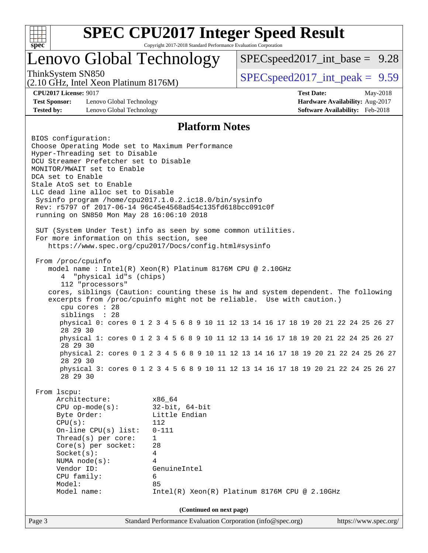

# Lenovo Global Technology

 $SPECspeed2017\_int\_base = 9.28$ 

(2.10 GHz, Intel Xeon Platinum 8176M)

ThinkSystem SN850<br>  $SPEC speed2017$  int\_peak = 9.59

**[Test Sponsor:](http://www.spec.org/auto/cpu2017/Docs/result-fields.html#TestSponsor)** Lenovo Global Technology **[Hardware Availability:](http://www.spec.org/auto/cpu2017/Docs/result-fields.html#HardwareAvailability)** Aug-2017 **[Tested by:](http://www.spec.org/auto/cpu2017/Docs/result-fields.html#Testedby)** Lenovo Global Technology **[Software Availability:](http://www.spec.org/auto/cpu2017/Docs/result-fields.html#SoftwareAvailability)** Feb-2018

**[CPU2017 License:](http://www.spec.org/auto/cpu2017/Docs/result-fields.html#CPU2017License)** 9017 **[Test Date:](http://www.spec.org/auto/cpu2017/Docs/result-fields.html#TestDate)** May-2018

#### **[Platform Notes](http://www.spec.org/auto/cpu2017/Docs/result-fields.html#PlatformNotes)**

Page 3 Standard Performance Evaluation Corporation [\(info@spec.org\)](mailto:info@spec.org) <https://www.spec.org/> BIOS configuration: Choose Operating Mode set to Maximum Performance Hyper-Threading set to Disable DCU Streamer Prefetcher set to Disable MONITOR/MWAIT set to Enable DCA set to Enable Stale AtoS set to Enable LLC dead line alloc set to Disable Sysinfo program /home/cpu2017.1.0.2.ic18.0/bin/sysinfo Rev: r5797 of 2017-06-14 96c45e4568ad54c135fd618bcc091c0f running on SN850 Mon May 28 16:06:10 2018 SUT (System Under Test) info as seen by some common utilities. For more information on this section, see <https://www.spec.org/cpu2017/Docs/config.html#sysinfo> From /proc/cpuinfo model name : Intel(R) Xeon(R) Platinum 8176M CPU @ 2.10GHz 4 "physical id"s (chips) 112 "processors" cores, siblings (Caution: counting these is hw and system dependent. The following excerpts from /proc/cpuinfo might not be reliable. Use with caution.) cpu cores : 28 siblings : 28 physical 0: cores 0 1 2 3 4 5 6 8 9 10 11 12 13 14 16 17 18 19 20 21 22 24 25 26 27 28 29 30 physical 1: cores 0 1 2 3 4 5 6 8 9 10 11 12 13 14 16 17 18 19 20 21 22 24 25 26 27 28 29 30 physical 2: cores 0 1 2 3 4 5 6 8 9 10 11 12 13 14 16 17 18 19 20 21 22 24 25 26 27 28 29 30 physical 3: cores 0 1 2 3 4 5 6 8 9 10 11 12 13 14 16 17 18 19 20 21 22 24 25 26 27 28 29 30 From lscpu: Architecture: x86\_64 CPU op-mode(s): 32-bit, 64-bit Byte Order: Little Endian CPU(s): 112 On-line CPU(s) list: 0-111 Thread(s) per core: 1 Core(s) per socket: 28 Socket(s): 4 NUMA node(s): 4 Vendor ID: GenuineIntel CPU family: 6 Model: 85 Model name:  $Intel(R)$  Xeon(R) Platinum 8176M CPU @ 2.10GHz **(Continued on next page)**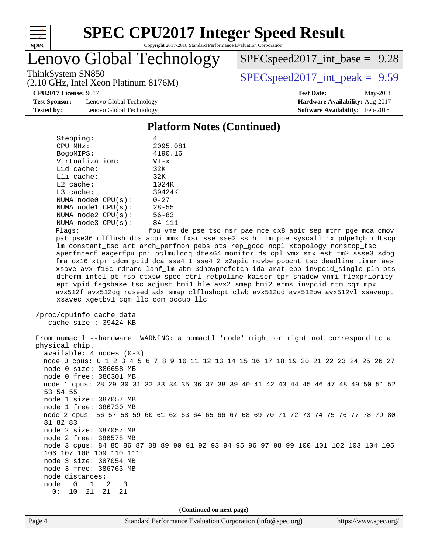

# Lenovo Global Technology

 $SPECspeed2017\_int\_base = 9.28$ 

(2.10 GHz, Intel Xeon Platinum 8176M)

ThinkSystem SN850<br>  $SPECspeed2017$  int\_peak = 9.59

**[Test Sponsor:](http://www.spec.org/auto/cpu2017/Docs/result-fields.html#TestSponsor)** Lenovo Global Technology **[Hardware Availability:](http://www.spec.org/auto/cpu2017/Docs/result-fields.html#HardwareAvailability)** Aug-2017 **[Tested by:](http://www.spec.org/auto/cpu2017/Docs/result-fields.html#Testedby)** Lenovo Global Technology **[Software Availability:](http://www.spec.org/auto/cpu2017/Docs/result-fields.html#SoftwareAvailability)** Feb-2018

**[CPU2017 License:](http://www.spec.org/auto/cpu2017/Docs/result-fields.html#CPU2017License)** 9017 **[Test Date:](http://www.spec.org/auto/cpu2017/Docs/result-fields.html#TestDate)** May-2018

#### **[Platform Notes \(Continued\)](http://www.spec.org/auto/cpu2017/Docs/result-fields.html#PlatformNotes)** Stepping: 4 CPU MHz: 2095.081 BogoMIPS: 4190.16 Virtualization: VT-x L1d cache: 32K L1i cache: 32K L2 cache: 1024K L3 cache: 39424K NUMA node0 CPU(s): 0-27 NUMA node1 CPU(s): 28-55 NUMA node2 CPU(s): 56-83 NUMA node3 CPU(s): 84-111 Flags: fpu vme de pse tsc msr pae mce cx8 apic sep mtrr pge mca cmov pat pse36 clflush dts acpi mmx fxsr sse sse2 ss ht tm pbe syscall nx pdpe1gb rdtscp lm constant\_tsc art arch\_perfmon pebs bts rep\_good nopl xtopology nonstop\_tsc aperfmperf eagerfpu pni pclmulqdq dtes64 monitor ds\_cpl vmx smx est tm2 ssse3 sdbg fma cx16 xtpr pdcm pcid dca sse4\_1 sse4\_2 x2apic movbe popcnt tsc\_deadline\_timer aes xsave avx f16c rdrand lahf\_lm abm 3dnowprefetch ida arat epb invpcid\_single pln pts dtherm intel\_pt rsb\_ctxsw spec\_ctrl retpoline kaiser tpr\_shadow vnmi flexpriority ept vpid fsgsbase tsc\_adjust bmi1 hle avx2 smep bmi2 erms invpcid rtm cqm mpx avx512f avx512dq rdseed adx smap clflushopt clwb avx512cd avx512bw avx512vl xsaveopt xsavec xgetbv1 cqm\_llc cqm\_occup\_llc /proc/cpuinfo cache data cache size : 39424 KB From numactl --hardware WARNING: a numactl 'node' might or might not correspond to a physical chip. available: 4 nodes (0-3) node 0 cpus: 0 1 2 3 4 5 6 7 8 9 10 11 12 13 14 15 16 17 18 19 20 21 22 23 24 25 26 27 node 0 size: 386658 MB node 0 free: 386301 MB node 1 cpus: 28 29 30 31 32 33 34 35 36 37 38 39 40 41 42 43 44 45 46 47 48 49 50 51 52 53 54 55 node 1 size: 387057 MB node 1 free: 386730 MB node 2 cpus: 56 57 58 59 60 61 62 63 64 65 66 67 68 69 70 71 72 73 74 75 76 77 78 79 80 81 82 83 node 2 size: 387057 MB node 2 free: 386578 MB node 3 cpus: 84 85 86 87 88 89 90 91 92 93 94 95 96 97 98 99 100 101 102 103 104 105 106 107 108 109 110 111 node 3 size: 387054 MB node 3 free: 386763 MB node distances: node 0 1 2 3 0: 10 21 21 21 **(Continued on next page)**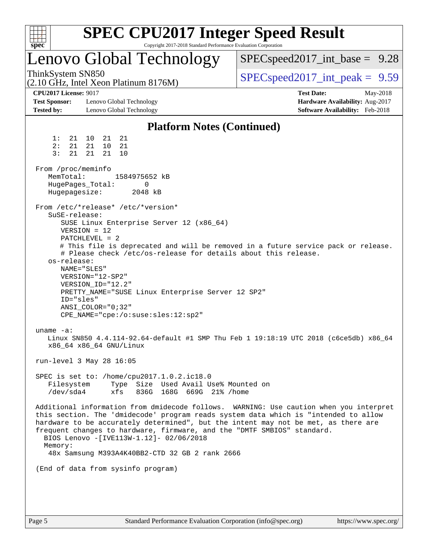| v.<br>е |  |  |  |  |  |  |  |
|---------|--|--|--|--|--|--|--|

## Lenovo Global Technology

(2.10 GHz, Intel Xeon Platinum 8176M)

 $SPECspeed2017\_int\_base = 9.28$ 

ThinkSystem SN850<br>  $SPEC speed2017$  int\_peak = 9.59

**[Test Sponsor:](http://www.spec.org/auto/cpu2017/Docs/result-fields.html#TestSponsor)** Lenovo Global Technology **[Hardware Availability:](http://www.spec.org/auto/cpu2017/Docs/result-fields.html#HardwareAvailability)** Aug-2017 **[Tested by:](http://www.spec.org/auto/cpu2017/Docs/result-fields.html#Testedby)** Lenovo Global Technology **[Software Availability:](http://www.spec.org/auto/cpu2017/Docs/result-fields.html#SoftwareAvailability)** Feb-2018

**[CPU2017 License:](http://www.spec.org/auto/cpu2017/Docs/result-fields.html#CPU2017License)** 9017 **[Test Date:](http://www.spec.org/auto/cpu2017/Docs/result-fields.html#TestDate)** May-2018

#### **[Platform Notes \(Continued\)](http://www.spec.org/auto/cpu2017/Docs/result-fields.html#PlatformNotes)** 1: 21 10 21 21 2: 21 21 10 21 3: 21 21 21 10 From /proc/meminfo MemTotal: 1584975652 kB HugePages\_Total: 0 Hugepagesize: 2048 kB From /etc/\*release\* /etc/\*version\* SuSE-release: SUSE Linux Enterprise Server 12 (x86\_64) VERSION = 12 PATCHLEVEL = 2 # This file is deprecated and will be removed in a future service pack or release. # Please check /etc/os-release for details about this release. os-release: NAME="SLES" VERSION="12-SP2" VERSION\_ID="12.2" PRETTY\_NAME="SUSE Linux Enterprise Server 12 SP2" ID="sles" ANSI\_COLOR="0;32" CPE\_NAME="cpe:/o:suse:sles:12:sp2" uname -a: Linux SN850 4.4.114-92.64-default #1 SMP Thu Feb 1 19:18:19 UTC 2018 (c6ce5db) x86\_64 x86\_64 x86\_64 GNU/Linux run-level 3 May 28 16:05 SPEC is set to: /home/cpu2017.1.0.2.ic18.0 Filesystem Type Size Used Avail Use% Mounted on /dev/sda4 xfs 836G 168G 669G 21% /home Additional information from dmidecode follows. WARNING: Use caution when you interpret this section. The 'dmidecode' program reads system data which is "intended to allow hardware to be accurately determined", but the intent may not be met, as there are frequent changes to hardware, firmware, and the "DMTF SMBIOS" standard. BIOS Lenovo -[IVE113W-1.12]- 02/06/2018 Memory: 48x Samsung M393A4K40BB2-CTD 32 GB 2 rank 2666 (End of data from sysinfo program)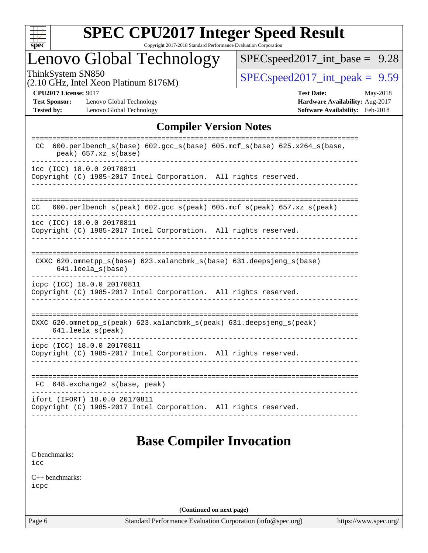

# **[SPEC CPU2017 Integer Speed Result](http://www.spec.org/auto/cpu2017/Docs/result-fields.html#SPECCPU2017IntegerSpeedResult)**

Copyright 2017-2018 Standard Performance Evaluation Corporation

# Lenovo Global Technology

[SPECspeed2017\\_int\\_base =](http://www.spec.org/auto/cpu2017/Docs/result-fields.html#SPECspeed2017intbase) 9.28

(2.10 GHz, Intel Xeon Platinum 8176M)

ThinkSystem SN850<br>  $(2.10 \text{ GHz. Intel Yoon Plotinum } 8176M)$  [SPECspeed2017\\_int\\_peak =](http://www.spec.org/auto/cpu2017/Docs/result-fields.html#SPECspeed2017intpeak) 9.59

**[Test Sponsor:](http://www.spec.org/auto/cpu2017/Docs/result-fields.html#TestSponsor)** Lenovo Global Technology **[Hardware Availability:](http://www.spec.org/auto/cpu2017/Docs/result-fields.html#HardwareAvailability)** Aug-2017 **[Tested by:](http://www.spec.org/auto/cpu2017/Docs/result-fields.html#Testedby)** Lenovo Global Technology **[Software Availability:](http://www.spec.org/auto/cpu2017/Docs/result-fields.html#SoftwareAvailability)** Feb-2018

**[CPU2017 License:](http://www.spec.org/auto/cpu2017/Docs/result-fields.html#CPU2017License)** 9017 **[Test Date:](http://www.spec.org/auto/cpu2017/Docs/result-fields.html#TestDate)** May-2018

### **[Compiler Version Notes](http://www.spec.org/auto/cpu2017/Docs/result-fields.html#CompilerVersionNotes)**

| $600. perlbench_s(base) 602. gcc_s(base) 605. mcf_s(base) 625.x264_s(base,$<br>CC<br>$peak)$ 657.xz_s(base)                   |
|-------------------------------------------------------------------------------------------------------------------------------|
| icc (ICC) 18.0.0 20170811<br>Copyright (C) 1985-2017 Intel Corporation. All rights reserved.                                  |
| 600.perlbench $s$ (peak) 602.gcc $s$ (peak) 605.mcf $s$ (peak) 657.xz $s$ (peak)<br>CC.                                       |
| icc (ICC) 18.0.0 20170811<br>Copyright (C) 1985-2017 Intel Corporation. All rights reserved.                                  |
| CXXC 620.omnetpp_s(base) 623.xalancbmk_s(base) 631.deepsjeng_s(base)<br>$641.$ leela_s(base)                                  |
| icpc (ICC) 18.0.0 20170811<br>Copyright (C) 1985-2017 Intel Corporation. All rights reserved.                                 |
| CXXC $620.\text{omnetpp_s}$ (peak) $623.\text{xalancbmk_s}$ (peak) $631.\text{deepsjeng_s}$ (peak)<br>$641.$ leela $s$ (peak) |
| icpc (ICC) 18.0.0 20170811<br>Copyright (C) 1985-2017 Intel Corporation. All rights reserved.                                 |
| 648.exchange2_s(base, peak)<br>FC.                                                                                            |
| ifort (IFORT) 18.0.0 20170811<br>Copyright (C) 1985-2017 Intel Corporation. All rights reserved.                              |

## **[Base Compiler Invocation](http://www.spec.org/auto/cpu2017/Docs/result-fields.html#BaseCompilerInvocation)**

[C benchmarks](http://www.spec.org/auto/cpu2017/Docs/result-fields.html#Cbenchmarks): [icc](http://www.spec.org/cpu2017/results/res2018q2/cpu2017-20180611-06832.flags.html#user_CCbase_intel_icc_18.0_66fc1ee009f7361af1fbd72ca7dcefbb700085f36577c54f309893dd4ec40d12360134090235512931783d35fd58c0460139e722d5067c5574d8eaf2b3e37e92)

[C++ benchmarks:](http://www.spec.org/auto/cpu2017/Docs/result-fields.html#CXXbenchmarks) [icpc](http://www.spec.org/cpu2017/results/res2018q2/cpu2017-20180611-06832.flags.html#user_CXXbase_intel_icpc_18.0_c510b6838c7f56d33e37e94d029a35b4a7bccf4766a728ee175e80a419847e808290a9b78be685c44ab727ea267ec2f070ec5dc83b407c0218cded6866a35d07)

**(Continued on next page)**

Page 6 Standard Performance Evaluation Corporation [\(info@spec.org\)](mailto:info@spec.org) <https://www.spec.org/>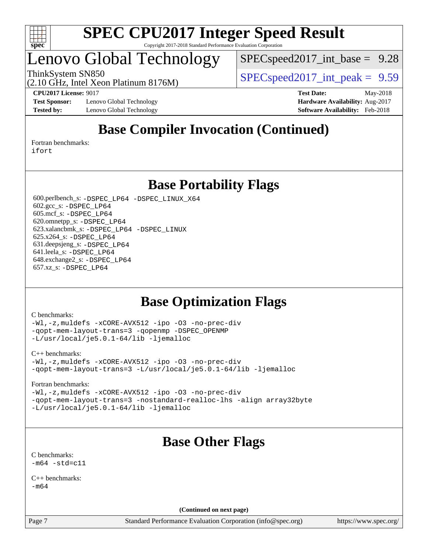

# enovo Global Technology

[SPECspeed2017\\_int\\_base =](http://www.spec.org/auto/cpu2017/Docs/result-fields.html#SPECspeed2017intbase) 9.28

ThinkSystem SN850<br>  $SPEC speed2017$  int\_peak = 9.59

**[Test Sponsor:](http://www.spec.org/auto/cpu2017/Docs/result-fields.html#TestSponsor)** Lenovo Global Technology **[Hardware Availability:](http://www.spec.org/auto/cpu2017/Docs/result-fields.html#HardwareAvailability)** Aug-2017 **[Tested by:](http://www.spec.org/auto/cpu2017/Docs/result-fields.html#Testedby)** Lenovo Global Technology **[Software Availability:](http://www.spec.org/auto/cpu2017/Docs/result-fields.html#SoftwareAvailability)** Feb-2018

(2.10 GHz, Intel Xeon Platinum 8176M)

**[CPU2017 License:](http://www.spec.org/auto/cpu2017/Docs/result-fields.html#CPU2017License)** 9017 **[Test Date:](http://www.spec.org/auto/cpu2017/Docs/result-fields.html#TestDate)** May-2018

# **[Base Compiler Invocation \(Continued\)](http://www.spec.org/auto/cpu2017/Docs/result-fields.html#BaseCompilerInvocation)**

[Fortran benchmarks](http://www.spec.org/auto/cpu2017/Docs/result-fields.html#Fortranbenchmarks): [ifort](http://www.spec.org/cpu2017/results/res2018q2/cpu2017-20180611-06832.flags.html#user_FCbase_intel_ifort_18.0_8111460550e3ca792625aed983ce982f94888b8b503583aa7ba2b8303487b4d8a21a13e7191a45c5fd58ff318f48f9492884d4413fa793fd88dd292cad7027ca)

**[Base Portability Flags](http://www.spec.org/auto/cpu2017/Docs/result-fields.html#BasePortabilityFlags)**

 600.perlbench\_s: [-DSPEC\\_LP64](http://www.spec.org/cpu2017/results/res2018q2/cpu2017-20180611-06832.flags.html#b600.perlbench_s_basePORTABILITY_DSPEC_LP64) [-DSPEC\\_LINUX\\_X64](http://www.spec.org/cpu2017/results/res2018q2/cpu2017-20180611-06832.flags.html#b600.perlbench_s_baseCPORTABILITY_DSPEC_LINUX_X64) 602.gcc\_s: [-DSPEC\\_LP64](http://www.spec.org/cpu2017/results/res2018q2/cpu2017-20180611-06832.flags.html#suite_basePORTABILITY602_gcc_s_DSPEC_LP64) 605.mcf\_s: [-DSPEC\\_LP64](http://www.spec.org/cpu2017/results/res2018q2/cpu2017-20180611-06832.flags.html#suite_basePORTABILITY605_mcf_s_DSPEC_LP64) 620.omnetpp\_s: [-DSPEC\\_LP64](http://www.spec.org/cpu2017/results/res2018q2/cpu2017-20180611-06832.flags.html#suite_basePORTABILITY620_omnetpp_s_DSPEC_LP64) 623.xalancbmk\_s: [-DSPEC\\_LP64](http://www.spec.org/cpu2017/results/res2018q2/cpu2017-20180611-06832.flags.html#suite_basePORTABILITY623_xalancbmk_s_DSPEC_LP64) [-DSPEC\\_LINUX](http://www.spec.org/cpu2017/results/res2018q2/cpu2017-20180611-06832.flags.html#b623.xalancbmk_s_baseCXXPORTABILITY_DSPEC_LINUX) 625.x264\_s: [-DSPEC\\_LP64](http://www.spec.org/cpu2017/results/res2018q2/cpu2017-20180611-06832.flags.html#suite_basePORTABILITY625_x264_s_DSPEC_LP64) 631.deepsjeng\_s: [-DSPEC\\_LP64](http://www.spec.org/cpu2017/results/res2018q2/cpu2017-20180611-06832.flags.html#suite_basePORTABILITY631_deepsjeng_s_DSPEC_LP64) 641.leela\_s: [-DSPEC\\_LP64](http://www.spec.org/cpu2017/results/res2018q2/cpu2017-20180611-06832.flags.html#suite_basePORTABILITY641_leela_s_DSPEC_LP64) 648.exchange2\_s: [-DSPEC\\_LP64](http://www.spec.org/cpu2017/results/res2018q2/cpu2017-20180611-06832.flags.html#suite_basePORTABILITY648_exchange2_s_DSPEC_LP64) 657.xz\_s: [-DSPEC\\_LP64](http://www.spec.org/cpu2017/results/res2018q2/cpu2017-20180611-06832.flags.html#suite_basePORTABILITY657_xz_s_DSPEC_LP64)

## **[Base Optimization Flags](http://www.spec.org/auto/cpu2017/Docs/result-fields.html#BaseOptimizationFlags)**

#### [C benchmarks](http://www.spec.org/auto/cpu2017/Docs/result-fields.html#Cbenchmarks):

[-Wl,-z,muldefs](http://www.spec.org/cpu2017/results/res2018q2/cpu2017-20180611-06832.flags.html#user_CCbase_link_force_multiple1_b4cbdb97b34bdee9ceefcfe54f4c8ea74255f0b02a4b23e853cdb0e18eb4525ac79b5a88067c842dd0ee6996c24547a27a4b99331201badda8798ef8a743f577) [-xCORE-AVX512](http://www.spec.org/cpu2017/results/res2018q2/cpu2017-20180611-06832.flags.html#user_CCbase_f-xCORE-AVX512) [-ipo](http://www.spec.org/cpu2017/results/res2018q2/cpu2017-20180611-06832.flags.html#user_CCbase_f-ipo) [-O3](http://www.spec.org/cpu2017/results/res2018q2/cpu2017-20180611-06832.flags.html#user_CCbase_f-O3) [-no-prec-div](http://www.spec.org/cpu2017/results/res2018q2/cpu2017-20180611-06832.flags.html#user_CCbase_f-no-prec-div) [-qopt-mem-layout-trans=3](http://www.spec.org/cpu2017/results/res2018q2/cpu2017-20180611-06832.flags.html#user_CCbase_f-qopt-mem-layout-trans_de80db37974c74b1f0e20d883f0b675c88c3b01e9d123adea9b28688d64333345fb62bc4a798493513fdb68f60282f9a726aa07f478b2f7113531aecce732043) [-qopenmp](http://www.spec.org/cpu2017/results/res2018q2/cpu2017-20180611-06832.flags.html#user_CCbase_qopenmp_16be0c44f24f464004c6784a7acb94aca937f053568ce72f94b139a11c7c168634a55f6653758ddd83bcf7b8463e8028bb0b48b77bcddc6b78d5d95bb1df2967) [-DSPEC\\_OPENMP](http://www.spec.org/cpu2017/results/res2018q2/cpu2017-20180611-06832.flags.html#suite_CCbase_DSPEC_OPENMP) [-L/usr/local/je5.0.1-64/lib](http://www.spec.org/cpu2017/results/res2018q2/cpu2017-20180611-06832.flags.html#user_CCbase_jemalloc_link_path64_4b10a636b7bce113509b17f3bd0d6226c5fb2346b9178c2d0232c14f04ab830f976640479e5c33dc2bcbbdad86ecfb6634cbbd4418746f06f368b512fced5394) [-ljemalloc](http://www.spec.org/cpu2017/results/res2018q2/cpu2017-20180611-06832.flags.html#user_CCbase_jemalloc_link_lib_d1249b907c500fa1c0672f44f562e3d0f79738ae9e3c4a9c376d49f265a04b9c99b167ecedbf6711b3085be911c67ff61f150a17b3472be731631ba4d0471706)

#### [C++ benchmarks:](http://www.spec.org/auto/cpu2017/Docs/result-fields.html#CXXbenchmarks)

[-Wl,-z,muldefs](http://www.spec.org/cpu2017/results/res2018q2/cpu2017-20180611-06832.flags.html#user_CXXbase_link_force_multiple1_b4cbdb97b34bdee9ceefcfe54f4c8ea74255f0b02a4b23e853cdb0e18eb4525ac79b5a88067c842dd0ee6996c24547a27a4b99331201badda8798ef8a743f577) [-xCORE-AVX512](http://www.spec.org/cpu2017/results/res2018q2/cpu2017-20180611-06832.flags.html#user_CXXbase_f-xCORE-AVX512) [-ipo](http://www.spec.org/cpu2017/results/res2018q2/cpu2017-20180611-06832.flags.html#user_CXXbase_f-ipo) [-O3](http://www.spec.org/cpu2017/results/res2018q2/cpu2017-20180611-06832.flags.html#user_CXXbase_f-O3) [-no-prec-div](http://www.spec.org/cpu2017/results/res2018q2/cpu2017-20180611-06832.flags.html#user_CXXbase_f-no-prec-div) [-qopt-mem-layout-trans=3](http://www.spec.org/cpu2017/results/res2018q2/cpu2017-20180611-06832.flags.html#user_CXXbase_f-qopt-mem-layout-trans_de80db37974c74b1f0e20d883f0b675c88c3b01e9d123adea9b28688d64333345fb62bc4a798493513fdb68f60282f9a726aa07f478b2f7113531aecce732043) [-L/usr/local/je5.0.1-64/lib](http://www.spec.org/cpu2017/results/res2018q2/cpu2017-20180611-06832.flags.html#user_CXXbase_jemalloc_link_path64_4b10a636b7bce113509b17f3bd0d6226c5fb2346b9178c2d0232c14f04ab830f976640479e5c33dc2bcbbdad86ecfb6634cbbd4418746f06f368b512fced5394) [-ljemalloc](http://www.spec.org/cpu2017/results/res2018q2/cpu2017-20180611-06832.flags.html#user_CXXbase_jemalloc_link_lib_d1249b907c500fa1c0672f44f562e3d0f79738ae9e3c4a9c376d49f265a04b9c99b167ecedbf6711b3085be911c67ff61f150a17b3472be731631ba4d0471706)

#### [Fortran benchmarks](http://www.spec.org/auto/cpu2017/Docs/result-fields.html#Fortranbenchmarks):

[-Wl,-z,muldefs](http://www.spec.org/cpu2017/results/res2018q2/cpu2017-20180611-06832.flags.html#user_FCbase_link_force_multiple1_b4cbdb97b34bdee9ceefcfe54f4c8ea74255f0b02a4b23e853cdb0e18eb4525ac79b5a88067c842dd0ee6996c24547a27a4b99331201badda8798ef8a743f577) [-xCORE-AVX512](http://www.spec.org/cpu2017/results/res2018q2/cpu2017-20180611-06832.flags.html#user_FCbase_f-xCORE-AVX512) [-ipo](http://www.spec.org/cpu2017/results/res2018q2/cpu2017-20180611-06832.flags.html#user_FCbase_f-ipo) [-O3](http://www.spec.org/cpu2017/results/res2018q2/cpu2017-20180611-06832.flags.html#user_FCbase_f-O3) [-no-prec-div](http://www.spec.org/cpu2017/results/res2018q2/cpu2017-20180611-06832.flags.html#user_FCbase_f-no-prec-div) [-qopt-mem-layout-trans=3](http://www.spec.org/cpu2017/results/res2018q2/cpu2017-20180611-06832.flags.html#user_FCbase_f-qopt-mem-layout-trans_de80db37974c74b1f0e20d883f0b675c88c3b01e9d123adea9b28688d64333345fb62bc4a798493513fdb68f60282f9a726aa07f478b2f7113531aecce732043) [-nostandard-realloc-lhs](http://www.spec.org/cpu2017/results/res2018q2/cpu2017-20180611-06832.flags.html#user_FCbase_f_2003_std_realloc_82b4557e90729c0f113870c07e44d33d6f5a304b4f63d4c15d2d0f1fab99f5daaed73bdb9275d9ae411527f28b936061aa8b9c8f2d63842963b95c9dd6426b8a) [-align array32byte](http://www.spec.org/cpu2017/results/res2018q2/cpu2017-20180611-06832.flags.html#user_FCbase_align_array32byte_b982fe038af199962ba9a80c053b8342c548c85b40b8e86eb3cc33dee0d7986a4af373ac2d51c3f7cf710a18d62fdce2948f201cd044323541f22fc0fffc51b6) [-L/usr/local/je5.0.1-64/lib](http://www.spec.org/cpu2017/results/res2018q2/cpu2017-20180611-06832.flags.html#user_FCbase_jemalloc_link_path64_4b10a636b7bce113509b17f3bd0d6226c5fb2346b9178c2d0232c14f04ab830f976640479e5c33dc2bcbbdad86ecfb6634cbbd4418746f06f368b512fced5394) [-ljemalloc](http://www.spec.org/cpu2017/results/res2018q2/cpu2017-20180611-06832.flags.html#user_FCbase_jemalloc_link_lib_d1249b907c500fa1c0672f44f562e3d0f79738ae9e3c4a9c376d49f265a04b9c99b167ecedbf6711b3085be911c67ff61f150a17b3472be731631ba4d0471706)

# **[Base Other Flags](http://www.spec.org/auto/cpu2017/Docs/result-fields.html#BaseOtherFlags)**

[C benchmarks](http://www.spec.org/auto/cpu2017/Docs/result-fields.html#Cbenchmarks):  $-m64 - std= c11$  $-m64 - std= c11$ 

[C++ benchmarks:](http://www.spec.org/auto/cpu2017/Docs/result-fields.html#CXXbenchmarks) [-m64](http://www.spec.org/cpu2017/results/res2018q2/cpu2017-20180611-06832.flags.html#user_CXXbase_intel_intel64_18.0_af43caccfc8ded86e7699f2159af6efc7655f51387b94da716254467f3c01020a5059329e2569e4053f409e7c9202a7efc638f7a6d1ffb3f52dea4a3e31d82ab)

**(Continued on next page)**

Page 7 Standard Performance Evaluation Corporation [\(info@spec.org\)](mailto:info@spec.org) <https://www.spec.org/>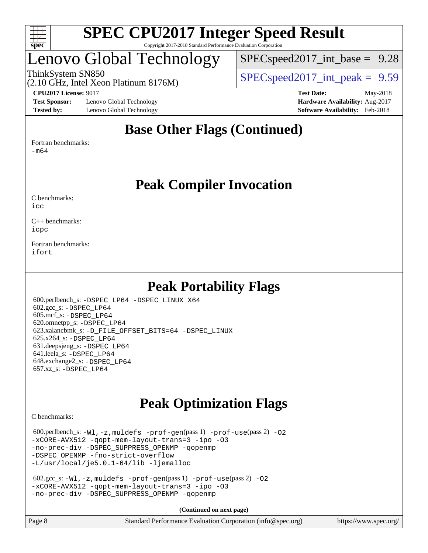

# Lenovo Global Technology

 $SPECspeed2017\_int\_base = 9.28$ 

(2.10 GHz, Intel Xeon Platinum 8176M)

ThinkSystem SN850<br>  $SPEC speed2017$  int\_peak = 9.59

**[Test Sponsor:](http://www.spec.org/auto/cpu2017/Docs/result-fields.html#TestSponsor)** Lenovo Global Technology **[Hardware Availability:](http://www.spec.org/auto/cpu2017/Docs/result-fields.html#HardwareAvailability)** Aug-2017 **[Tested by:](http://www.spec.org/auto/cpu2017/Docs/result-fields.html#Testedby)** Lenovo Global Technology **[Software Availability:](http://www.spec.org/auto/cpu2017/Docs/result-fields.html#SoftwareAvailability)** Feb-2018

**[CPU2017 License:](http://www.spec.org/auto/cpu2017/Docs/result-fields.html#CPU2017License)** 9017 **[Test Date:](http://www.spec.org/auto/cpu2017/Docs/result-fields.html#TestDate)** May-2018

## **[Base Other Flags \(Continued\)](http://www.spec.org/auto/cpu2017/Docs/result-fields.html#BaseOtherFlags)**

[Fortran benchmarks](http://www.spec.org/auto/cpu2017/Docs/result-fields.html#Fortranbenchmarks):

[-m64](http://www.spec.org/cpu2017/results/res2018q2/cpu2017-20180611-06832.flags.html#user_FCbase_intel_intel64_18.0_af43caccfc8ded86e7699f2159af6efc7655f51387b94da716254467f3c01020a5059329e2569e4053f409e7c9202a7efc638f7a6d1ffb3f52dea4a3e31d82ab)

**[Peak Compiler Invocation](http://www.spec.org/auto/cpu2017/Docs/result-fields.html#PeakCompilerInvocation)**

[C benchmarks](http://www.spec.org/auto/cpu2017/Docs/result-fields.html#Cbenchmarks):  $i$ cc

[C++ benchmarks:](http://www.spec.org/auto/cpu2017/Docs/result-fields.html#CXXbenchmarks) [icpc](http://www.spec.org/cpu2017/results/res2018q2/cpu2017-20180611-06832.flags.html#user_CXXpeak_intel_icpc_18.0_c510b6838c7f56d33e37e94d029a35b4a7bccf4766a728ee175e80a419847e808290a9b78be685c44ab727ea267ec2f070ec5dc83b407c0218cded6866a35d07)

[Fortran benchmarks](http://www.spec.org/auto/cpu2017/Docs/result-fields.html#Fortranbenchmarks): [ifort](http://www.spec.org/cpu2017/results/res2018q2/cpu2017-20180611-06832.flags.html#user_FCpeak_intel_ifort_18.0_8111460550e3ca792625aed983ce982f94888b8b503583aa7ba2b8303487b4d8a21a13e7191a45c5fd58ff318f48f9492884d4413fa793fd88dd292cad7027ca)

## **[Peak Portability Flags](http://www.spec.org/auto/cpu2017/Docs/result-fields.html#PeakPortabilityFlags)**

 600.perlbench\_s: [-DSPEC\\_LP64](http://www.spec.org/cpu2017/results/res2018q2/cpu2017-20180611-06832.flags.html#b600.perlbench_s_peakPORTABILITY_DSPEC_LP64) [-DSPEC\\_LINUX\\_X64](http://www.spec.org/cpu2017/results/res2018q2/cpu2017-20180611-06832.flags.html#b600.perlbench_s_peakCPORTABILITY_DSPEC_LINUX_X64) 602.gcc\_s: [-DSPEC\\_LP64](http://www.spec.org/cpu2017/results/res2018q2/cpu2017-20180611-06832.flags.html#suite_peakPORTABILITY602_gcc_s_DSPEC_LP64) 605.mcf\_s: [-DSPEC\\_LP64](http://www.spec.org/cpu2017/results/res2018q2/cpu2017-20180611-06832.flags.html#suite_peakPORTABILITY605_mcf_s_DSPEC_LP64) 620.omnetpp\_s: [-DSPEC\\_LP64](http://www.spec.org/cpu2017/results/res2018q2/cpu2017-20180611-06832.flags.html#suite_peakPORTABILITY620_omnetpp_s_DSPEC_LP64) 623.xalancbmk\_s: [-D\\_FILE\\_OFFSET\\_BITS=64](http://www.spec.org/cpu2017/results/res2018q2/cpu2017-20180611-06832.flags.html#user_peakPORTABILITY623_xalancbmk_s_file_offset_bits_64_5ae949a99b284ddf4e95728d47cb0843d81b2eb0e18bdfe74bbf0f61d0b064f4bda2f10ea5eb90e1dcab0e84dbc592acfc5018bc955c18609f94ddb8d550002c) [-DSPEC\\_LINUX](http://www.spec.org/cpu2017/results/res2018q2/cpu2017-20180611-06832.flags.html#b623.xalancbmk_s_peakCXXPORTABILITY_DSPEC_LINUX) 625.x264\_s: [-DSPEC\\_LP64](http://www.spec.org/cpu2017/results/res2018q2/cpu2017-20180611-06832.flags.html#suite_peakPORTABILITY625_x264_s_DSPEC_LP64) 631.deepsjeng\_s: [-DSPEC\\_LP64](http://www.spec.org/cpu2017/results/res2018q2/cpu2017-20180611-06832.flags.html#suite_peakPORTABILITY631_deepsjeng_s_DSPEC_LP64) 641.leela\_s: [-DSPEC\\_LP64](http://www.spec.org/cpu2017/results/res2018q2/cpu2017-20180611-06832.flags.html#suite_peakPORTABILITY641_leela_s_DSPEC_LP64) 648.exchange2\_s: [-DSPEC\\_LP64](http://www.spec.org/cpu2017/results/res2018q2/cpu2017-20180611-06832.flags.html#suite_peakPORTABILITY648_exchange2_s_DSPEC_LP64) 657.xz\_s: [-DSPEC\\_LP64](http://www.spec.org/cpu2017/results/res2018q2/cpu2017-20180611-06832.flags.html#suite_peakPORTABILITY657_xz_s_DSPEC_LP64)

# **[Peak Optimization Flags](http://www.spec.org/auto/cpu2017/Docs/result-fields.html#PeakOptimizationFlags)**

[C benchmarks](http://www.spec.org/auto/cpu2017/Docs/result-fields.html#Cbenchmarks):

 $600.$ perlbench\_s:  $-W1$ ,  $-z$ , muldefs  $-prof-gen(pass 1)$  $-prof-gen(pass 1)$  [-prof-use](http://www.spec.org/cpu2017/results/res2018q2/cpu2017-20180611-06832.flags.html#user_peakPASS2_CFLAGSPASS2_LDFLAGS600_perlbench_s_prof_use_1a21ceae95f36a2b53c25747139a6c16ca95bd9def2a207b4f0849963b97e94f5260e30a0c64f4bb623698870e679ca08317ef8150905d41bd88c6f78df73f19)(pass 2) -02 [-xCORE-AVX512](http://www.spec.org/cpu2017/results/res2018q2/cpu2017-20180611-06832.flags.html#user_peakPASS2_COPTIMIZE600_perlbench_s_f-xCORE-AVX512) [-qopt-mem-layout-trans=3](http://www.spec.org/cpu2017/results/res2018q2/cpu2017-20180611-06832.flags.html#user_peakPASS1_COPTIMIZEPASS2_COPTIMIZE600_perlbench_s_f-qopt-mem-layout-trans_de80db37974c74b1f0e20d883f0b675c88c3b01e9d123adea9b28688d64333345fb62bc4a798493513fdb68f60282f9a726aa07f478b2f7113531aecce732043) [-ipo](http://www.spec.org/cpu2017/results/res2018q2/cpu2017-20180611-06832.flags.html#user_peakPASS2_COPTIMIZE600_perlbench_s_f-ipo) [-O3](http://www.spec.org/cpu2017/results/res2018q2/cpu2017-20180611-06832.flags.html#user_peakPASS2_COPTIMIZE600_perlbench_s_f-O3) [-no-prec-div](http://www.spec.org/cpu2017/results/res2018q2/cpu2017-20180611-06832.flags.html#user_peakPASS2_COPTIMIZE600_perlbench_s_f-no-prec-div) [-DSPEC\\_SUPPRESS\\_OPENMP](http://www.spec.org/cpu2017/results/res2018q2/cpu2017-20180611-06832.flags.html#suite_peakPASS1_COPTIMIZE600_perlbench_s_DSPEC_SUPPRESS_OPENMP) [-qopenmp](http://www.spec.org/cpu2017/results/res2018q2/cpu2017-20180611-06832.flags.html#user_peakPASS2_COPTIMIZE600_perlbench_s_qopenmp_16be0c44f24f464004c6784a7acb94aca937f053568ce72f94b139a11c7c168634a55f6653758ddd83bcf7b8463e8028bb0b48b77bcddc6b78d5d95bb1df2967) -DSPEC OPENMP [-fno-strict-overflow](http://www.spec.org/cpu2017/results/res2018q2/cpu2017-20180611-06832.flags.html#user_peakEXTRA_OPTIMIZE600_perlbench_s_f-fno-strict-overflow) [-L/usr/local/je5.0.1-64/lib](http://www.spec.org/cpu2017/results/res2018q2/cpu2017-20180611-06832.flags.html#user_peakEXTRA_LIBS600_perlbench_s_jemalloc_link_path64_4b10a636b7bce113509b17f3bd0d6226c5fb2346b9178c2d0232c14f04ab830f976640479e5c33dc2bcbbdad86ecfb6634cbbd4418746f06f368b512fced5394) [-ljemalloc](http://www.spec.org/cpu2017/results/res2018q2/cpu2017-20180611-06832.flags.html#user_peakEXTRA_LIBS600_perlbench_s_jemalloc_link_lib_d1249b907c500fa1c0672f44f562e3d0f79738ae9e3c4a9c376d49f265a04b9c99b167ecedbf6711b3085be911c67ff61f150a17b3472be731631ba4d0471706)

```
 602.gcc_s: -Wl,-z,muldefs -prof-gen(pass 1) -prof-use(pass 2) -O2
-xCORE-AVX512 -qopt-mem-layout-trans=3 -ipo -O3
-no-prec-div -DSPEC_SUPPRESS_OPENMP -qopenmp
```
**(Continued on next page)**

| Page 8 | Standard Performance Evaluation Corporation (info@spec.org) | https://www.spec.org/ |
|--------|-------------------------------------------------------------|-----------------------|
|        |                                                             |                       |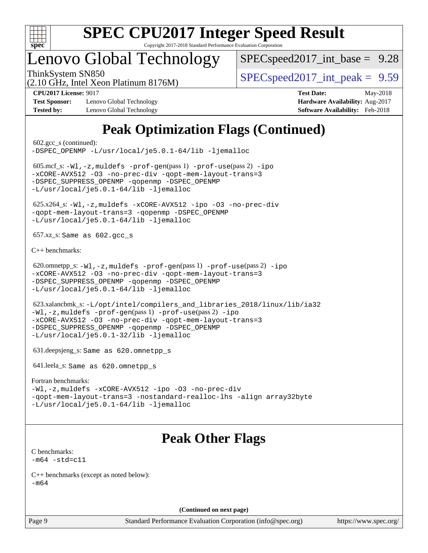

# Lenovo Global Technology

 $SPECspeed2017\_int\_base = 9.28$ 

(2.10 GHz, Intel Xeon Platinum 8176M)

ThinkSystem SN850<br>  $SPEC speed2017$  int\_peak = 9.59

**[Test Sponsor:](http://www.spec.org/auto/cpu2017/Docs/result-fields.html#TestSponsor)** Lenovo Global Technology **[Hardware Availability:](http://www.spec.org/auto/cpu2017/Docs/result-fields.html#HardwareAvailability)** Aug-2017 **[Tested by:](http://www.spec.org/auto/cpu2017/Docs/result-fields.html#Testedby)** Lenovo Global Technology **[Software Availability:](http://www.spec.org/auto/cpu2017/Docs/result-fields.html#SoftwareAvailability)** Feb-2018

**[CPU2017 License:](http://www.spec.org/auto/cpu2017/Docs/result-fields.html#CPU2017License)** 9017 **[Test Date:](http://www.spec.org/auto/cpu2017/Docs/result-fields.html#TestDate)** May-2018

# **[Peak Optimization Flags \(Continued\)](http://www.spec.org/auto/cpu2017/Docs/result-fields.html#PeakOptimizationFlags)**

 602.gcc\_s (continued): [-DSPEC\\_OPENMP](http://www.spec.org/cpu2017/results/res2018q2/cpu2017-20180611-06832.flags.html#suite_peakPASS2_COPTIMIZE602_gcc_s_DSPEC_OPENMP) [-L/usr/local/je5.0.1-64/lib](http://www.spec.org/cpu2017/results/res2018q2/cpu2017-20180611-06832.flags.html#user_peakEXTRA_LIBS602_gcc_s_jemalloc_link_path64_4b10a636b7bce113509b17f3bd0d6226c5fb2346b9178c2d0232c14f04ab830f976640479e5c33dc2bcbbdad86ecfb6634cbbd4418746f06f368b512fced5394) [-ljemalloc](http://www.spec.org/cpu2017/results/res2018q2/cpu2017-20180611-06832.flags.html#user_peakEXTRA_LIBS602_gcc_s_jemalloc_link_lib_d1249b907c500fa1c0672f44f562e3d0f79738ae9e3c4a9c376d49f265a04b9c99b167ecedbf6711b3085be911c67ff61f150a17b3472be731631ba4d0471706) 605.mcf\_s: [-Wl,-z,muldefs](http://www.spec.org/cpu2017/results/res2018q2/cpu2017-20180611-06832.flags.html#user_peakEXTRA_LDFLAGS605_mcf_s_link_force_multiple1_b4cbdb97b34bdee9ceefcfe54f4c8ea74255f0b02a4b23e853cdb0e18eb4525ac79b5a88067c842dd0ee6996c24547a27a4b99331201badda8798ef8a743f577) [-prof-gen](http://www.spec.org/cpu2017/results/res2018q2/cpu2017-20180611-06832.flags.html#user_peakPASS1_CFLAGSPASS1_LDFLAGS605_mcf_s_prof_gen_5aa4926d6013ddb2a31985c654b3eb18169fc0c6952a63635c234f711e6e63dd76e94ad52365559451ec499a2cdb89e4dc58ba4c67ef54ca681ffbe1461d6b36)(pass 1) [-prof-use](http://www.spec.org/cpu2017/results/res2018q2/cpu2017-20180611-06832.flags.html#user_peakPASS2_CFLAGSPASS2_LDFLAGS605_mcf_s_prof_use_1a21ceae95f36a2b53c25747139a6c16ca95bd9def2a207b4f0849963b97e94f5260e30a0c64f4bb623698870e679ca08317ef8150905d41bd88c6f78df73f19)(pass 2) [-ipo](http://www.spec.org/cpu2017/results/res2018q2/cpu2017-20180611-06832.flags.html#user_peakPASS1_COPTIMIZEPASS2_COPTIMIZE605_mcf_s_f-ipo) [-xCORE-AVX512](http://www.spec.org/cpu2017/results/res2018q2/cpu2017-20180611-06832.flags.html#user_peakPASS2_COPTIMIZE605_mcf_s_f-xCORE-AVX512) [-O3](http://www.spec.org/cpu2017/results/res2018q2/cpu2017-20180611-06832.flags.html#user_peakPASS1_COPTIMIZEPASS2_COPTIMIZE605_mcf_s_f-O3) [-no-prec-div](http://www.spec.org/cpu2017/results/res2018q2/cpu2017-20180611-06832.flags.html#user_peakPASS1_COPTIMIZEPASS2_COPTIMIZE605_mcf_s_f-no-prec-div) [-qopt-mem-layout-trans=3](http://www.spec.org/cpu2017/results/res2018q2/cpu2017-20180611-06832.flags.html#user_peakPASS1_COPTIMIZEPASS2_COPTIMIZE605_mcf_s_f-qopt-mem-layout-trans_de80db37974c74b1f0e20d883f0b675c88c3b01e9d123adea9b28688d64333345fb62bc4a798493513fdb68f60282f9a726aa07f478b2f7113531aecce732043) [-DSPEC\\_SUPPRESS\\_OPENMP](http://www.spec.org/cpu2017/results/res2018q2/cpu2017-20180611-06832.flags.html#suite_peakPASS1_COPTIMIZE605_mcf_s_DSPEC_SUPPRESS_OPENMP) [-qopenmp](http://www.spec.org/cpu2017/results/res2018q2/cpu2017-20180611-06832.flags.html#user_peakPASS2_COPTIMIZE605_mcf_s_qopenmp_16be0c44f24f464004c6784a7acb94aca937f053568ce72f94b139a11c7c168634a55f6653758ddd83bcf7b8463e8028bb0b48b77bcddc6b78d5d95bb1df2967) [-DSPEC\\_OPENMP](http://www.spec.org/cpu2017/results/res2018q2/cpu2017-20180611-06832.flags.html#suite_peakPASS2_COPTIMIZE605_mcf_s_DSPEC_OPENMP) [-L/usr/local/je5.0.1-64/lib](http://www.spec.org/cpu2017/results/res2018q2/cpu2017-20180611-06832.flags.html#user_peakEXTRA_LIBS605_mcf_s_jemalloc_link_path64_4b10a636b7bce113509b17f3bd0d6226c5fb2346b9178c2d0232c14f04ab830f976640479e5c33dc2bcbbdad86ecfb6634cbbd4418746f06f368b512fced5394) [-ljemalloc](http://www.spec.org/cpu2017/results/res2018q2/cpu2017-20180611-06832.flags.html#user_peakEXTRA_LIBS605_mcf_s_jemalloc_link_lib_d1249b907c500fa1c0672f44f562e3d0f79738ae9e3c4a9c376d49f265a04b9c99b167ecedbf6711b3085be911c67ff61f150a17b3472be731631ba4d0471706) 625.x264\_s: [-Wl,-z,muldefs](http://www.spec.org/cpu2017/results/res2018q2/cpu2017-20180611-06832.flags.html#user_peakEXTRA_LDFLAGS625_x264_s_link_force_multiple1_b4cbdb97b34bdee9ceefcfe54f4c8ea74255f0b02a4b23e853cdb0e18eb4525ac79b5a88067c842dd0ee6996c24547a27a4b99331201badda8798ef8a743f577) [-xCORE-AVX512](http://www.spec.org/cpu2017/results/res2018q2/cpu2017-20180611-06832.flags.html#user_peakCOPTIMIZE625_x264_s_f-xCORE-AVX512) [-ipo](http://www.spec.org/cpu2017/results/res2018q2/cpu2017-20180611-06832.flags.html#user_peakCOPTIMIZE625_x264_s_f-ipo) [-O3](http://www.spec.org/cpu2017/results/res2018q2/cpu2017-20180611-06832.flags.html#user_peakCOPTIMIZE625_x264_s_f-O3) [-no-prec-div](http://www.spec.org/cpu2017/results/res2018q2/cpu2017-20180611-06832.flags.html#user_peakCOPTIMIZE625_x264_s_f-no-prec-div) [-qopt-mem-layout-trans=3](http://www.spec.org/cpu2017/results/res2018q2/cpu2017-20180611-06832.flags.html#user_peakCOPTIMIZE625_x264_s_f-qopt-mem-layout-trans_de80db37974c74b1f0e20d883f0b675c88c3b01e9d123adea9b28688d64333345fb62bc4a798493513fdb68f60282f9a726aa07f478b2f7113531aecce732043) [-qopenmp](http://www.spec.org/cpu2017/results/res2018q2/cpu2017-20180611-06832.flags.html#user_peakCOPTIMIZE625_x264_s_qopenmp_16be0c44f24f464004c6784a7acb94aca937f053568ce72f94b139a11c7c168634a55f6653758ddd83bcf7b8463e8028bb0b48b77bcddc6b78d5d95bb1df2967) [-DSPEC\\_OPENMP](http://www.spec.org/cpu2017/results/res2018q2/cpu2017-20180611-06832.flags.html#suite_peakCOPTIMIZE625_x264_s_DSPEC_OPENMP) [-L/usr/local/je5.0.1-64/lib](http://www.spec.org/cpu2017/results/res2018q2/cpu2017-20180611-06832.flags.html#user_peakEXTRA_LIBS625_x264_s_jemalloc_link_path64_4b10a636b7bce113509b17f3bd0d6226c5fb2346b9178c2d0232c14f04ab830f976640479e5c33dc2bcbbdad86ecfb6634cbbd4418746f06f368b512fced5394) [-ljemalloc](http://www.spec.org/cpu2017/results/res2018q2/cpu2017-20180611-06832.flags.html#user_peakEXTRA_LIBS625_x264_s_jemalloc_link_lib_d1249b907c500fa1c0672f44f562e3d0f79738ae9e3c4a9c376d49f265a04b9c99b167ecedbf6711b3085be911c67ff61f150a17b3472be731631ba4d0471706) 657.xz\_s: Same as 602.gcc\_s [C++ benchmarks:](http://www.spec.org/auto/cpu2017/Docs/result-fields.html#CXXbenchmarks) 620.omnetpp\_s: [-Wl,-z,muldefs](http://www.spec.org/cpu2017/results/res2018q2/cpu2017-20180611-06832.flags.html#user_peakEXTRA_LDFLAGS620_omnetpp_s_link_force_multiple1_b4cbdb97b34bdee9ceefcfe54f4c8ea74255f0b02a4b23e853cdb0e18eb4525ac79b5a88067c842dd0ee6996c24547a27a4b99331201badda8798ef8a743f577) [-prof-gen](http://www.spec.org/cpu2017/results/res2018q2/cpu2017-20180611-06832.flags.html#user_peakPASS1_CXXFLAGSPASS1_LDFLAGS620_omnetpp_s_prof_gen_5aa4926d6013ddb2a31985c654b3eb18169fc0c6952a63635c234f711e6e63dd76e94ad52365559451ec499a2cdb89e4dc58ba4c67ef54ca681ffbe1461d6b36)(pass 1) [-prof-use](http://www.spec.org/cpu2017/results/res2018q2/cpu2017-20180611-06832.flags.html#user_peakPASS2_CXXFLAGSPASS2_LDFLAGS620_omnetpp_s_prof_use_1a21ceae95f36a2b53c25747139a6c16ca95bd9def2a207b4f0849963b97e94f5260e30a0c64f4bb623698870e679ca08317ef8150905d41bd88c6f78df73f19)(pass 2) [-ipo](http://www.spec.org/cpu2017/results/res2018q2/cpu2017-20180611-06832.flags.html#user_peakPASS1_CXXOPTIMIZEPASS2_CXXOPTIMIZE620_omnetpp_s_f-ipo) [-xCORE-AVX512](http://www.spec.org/cpu2017/results/res2018q2/cpu2017-20180611-06832.flags.html#user_peakPASS2_CXXOPTIMIZE620_omnetpp_s_f-xCORE-AVX512) [-O3](http://www.spec.org/cpu2017/results/res2018q2/cpu2017-20180611-06832.flags.html#user_peakPASS1_CXXOPTIMIZEPASS2_CXXOPTIMIZE620_omnetpp_s_f-O3) [-no-prec-div](http://www.spec.org/cpu2017/results/res2018q2/cpu2017-20180611-06832.flags.html#user_peakPASS1_CXXOPTIMIZEPASS2_CXXOPTIMIZE620_omnetpp_s_f-no-prec-div) [-qopt-mem-layout-trans=3](http://www.spec.org/cpu2017/results/res2018q2/cpu2017-20180611-06832.flags.html#user_peakPASS1_CXXOPTIMIZEPASS2_CXXOPTIMIZE620_omnetpp_s_f-qopt-mem-layout-trans_de80db37974c74b1f0e20d883f0b675c88c3b01e9d123adea9b28688d64333345fb62bc4a798493513fdb68f60282f9a726aa07f478b2f7113531aecce732043) -DSPEC SUPPRESS OPENMP [-qopenmp](http://www.spec.org/cpu2017/results/res2018q2/cpu2017-20180611-06832.flags.html#user_peakPASS2_CXXOPTIMIZE620_omnetpp_s_qopenmp_16be0c44f24f464004c6784a7acb94aca937f053568ce72f94b139a11c7c168634a55f6653758ddd83bcf7b8463e8028bb0b48b77bcddc6b78d5d95bb1df2967) -DSPEC OPENMP [-L/usr/local/je5.0.1-64/lib](http://www.spec.org/cpu2017/results/res2018q2/cpu2017-20180611-06832.flags.html#user_peakEXTRA_LIBS620_omnetpp_s_jemalloc_link_path64_4b10a636b7bce113509b17f3bd0d6226c5fb2346b9178c2d0232c14f04ab830f976640479e5c33dc2bcbbdad86ecfb6634cbbd4418746f06f368b512fced5394) [-ljemalloc](http://www.spec.org/cpu2017/results/res2018q2/cpu2017-20180611-06832.flags.html#user_peakEXTRA_LIBS620_omnetpp_s_jemalloc_link_lib_d1249b907c500fa1c0672f44f562e3d0f79738ae9e3c4a9c376d49f265a04b9c99b167ecedbf6711b3085be911c67ff61f150a17b3472be731631ba4d0471706) 623.xalancbmk\_s: [-L/opt/intel/compilers\\_and\\_libraries\\_2018/linux/lib/ia32](http://www.spec.org/cpu2017/results/res2018q2/cpu2017-20180611-06832.flags.html#user_peakCXXLD623_xalancbmk_s_Enable-32bit-runtime_af243bdb1d79e4c7a4f720bf8275e627de2ecd461de63307bc14cef0633fde3cd7bb2facb32dcc8be9566045fb55d40ce2b72b725f73827aa7833441b71b9343) [-Wl,-z,muldefs](http://www.spec.org/cpu2017/results/res2018q2/cpu2017-20180611-06832.flags.html#user_peakEXTRA_LDFLAGS623_xalancbmk_s_link_force_multiple1_b4cbdb97b34bdee9ceefcfe54f4c8ea74255f0b02a4b23e853cdb0e18eb4525ac79b5a88067c842dd0ee6996c24547a27a4b99331201badda8798ef8a743f577) [-prof-gen](http://www.spec.org/cpu2017/results/res2018q2/cpu2017-20180611-06832.flags.html#user_peakPASS1_CXXFLAGSPASS1_LDFLAGS623_xalancbmk_s_prof_gen_5aa4926d6013ddb2a31985c654b3eb18169fc0c6952a63635c234f711e6e63dd76e94ad52365559451ec499a2cdb89e4dc58ba4c67ef54ca681ffbe1461d6b36)(pass 1) [-prof-use](http://www.spec.org/cpu2017/results/res2018q2/cpu2017-20180611-06832.flags.html#user_peakPASS2_CXXFLAGSPASS2_LDFLAGS623_xalancbmk_s_prof_use_1a21ceae95f36a2b53c25747139a6c16ca95bd9def2a207b4f0849963b97e94f5260e30a0c64f4bb623698870e679ca08317ef8150905d41bd88c6f78df73f19)(pass 2) [-ipo](http://www.spec.org/cpu2017/results/res2018q2/cpu2017-20180611-06832.flags.html#user_peakPASS1_CXXOPTIMIZEPASS2_CXXOPTIMIZE623_xalancbmk_s_f-ipo) [-xCORE-AVX512](http://www.spec.org/cpu2017/results/res2018q2/cpu2017-20180611-06832.flags.html#user_peakPASS2_CXXOPTIMIZE623_xalancbmk_s_f-xCORE-AVX512) [-O3](http://www.spec.org/cpu2017/results/res2018q2/cpu2017-20180611-06832.flags.html#user_peakPASS1_CXXOPTIMIZEPASS2_CXXOPTIMIZE623_xalancbmk_s_f-O3) [-no-prec-div](http://www.spec.org/cpu2017/results/res2018q2/cpu2017-20180611-06832.flags.html#user_peakPASS1_CXXOPTIMIZEPASS2_CXXOPTIMIZE623_xalancbmk_s_f-no-prec-div) [-qopt-mem-layout-trans=3](http://www.spec.org/cpu2017/results/res2018q2/cpu2017-20180611-06832.flags.html#user_peakPASS1_CXXOPTIMIZEPASS2_CXXOPTIMIZE623_xalancbmk_s_f-qopt-mem-layout-trans_de80db37974c74b1f0e20d883f0b675c88c3b01e9d123adea9b28688d64333345fb62bc4a798493513fdb68f60282f9a726aa07f478b2f7113531aecce732043) [-DSPEC\\_SUPPRESS\\_OPENMP](http://www.spec.org/cpu2017/results/res2018q2/cpu2017-20180611-06832.flags.html#suite_peakPASS1_CXXOPTIMIZE623_xalancbmk_s_DSPEC_SUPPRESS_OPENMP) [-qopenmp](http://www.spec.org/cpu2017/results/res2018q2/cpu2017-20180611-06832.flags.html#user_peakPASS2_CXXOPTIMIZE623_xalancbmk_s_qopenmp_16be0c44f24f464004c6784a7acb94aca937f053568ce72f94b139a11c7c168634a55f6653758ddd83bcf7b8463e8028bb0b48b77bcddc6b78d5d95bb1df2967) [-DSPEC\\_OPENMP](http://www.spec.org/cpu2017/results/res2018q2/cpu2017-20180611-06832.flags.html#suite_peakPASS2_CXXOPTIMIZE623_xalancbmk_s_DSPEC_OPENMP) [-L/usr/local/je5.0.1-32/lib](http://www.spec.org/cpu2017/results/res2018q2/cpu2017-20180611-06832.flags.html#user_peakEXTRA_LIBS623_xalancbmk_s_jemalloc_link_path32_e29f22e8e6c17053bbc6a0971f5a9c01a601a06bb1a59df2084b77a2fe0a2995b64fd4256feaeea39eeba3aae142e96e2b2b0a28974019c0c0c88139a84f900a) [-ljemalloc](http://www.spec.org/cpu2017/results/res2018q2/cpu2017-20180611-06832.flags.html#user_peakEXTRA_LIBS623_xalancbmk_s_jemalloc_link_lib_d1249b907c500fa1c0672f44f562e3d0f79738ae9e3c4a9c376d49f265a04b9c99b167ecedbf6711b3085be911c67ff61f150a17b3472be731631ba4d0471706) 631.deepsjeng\_s: Same as 620.omnetpp\_s 641.leela\_s: Same as 620.omnetpp\_s [Fortran benchmarks](http://www.spec.org/auto/cpu2017/Docs/result-fields.html#Fortranbenchmarks): [-Wl,-z,muldefs](http://www.spec.org/cpu2017/results/res2018q2/cpu2017-20180611-06832.flags.html#user_FCpeak_link_force_multiple1_b4cbdb97b34bdee9ceefcfe54f4c8ea74255f0b02a4b23e853cdb0e18eb4525ac79b5a88067c842dd0ee6996c24547a27a4b99331201badda8798ef8a743f577) [-xCORE-AVX512](http://www.spec.org/cpu2017/results/res2018q2/cpu2017-20180611-06832.flags.html#user_FCpeak_f-xCORE-AVX512) [-ipo](http://www.spec.org/cpu2017/results/res2018q2/cpu2017-20180611-06832.flags.html#user_FCpeak_f-ipo) [-O3](http://www.spec.org/cpu2017/results/res2018q2/cpu2017-20180611-06832.flags.html#user_FCpeak_f-O3) [-no-prec-div](http://www.spec.org/cpu2017/results/res2018q2/cpu2017-20180611-06832.flags.html#user_FCpeak_f-no-prec-div) [-qopt-mem-layout-trans=3](http://www.spec.org/cpu2017/results/res2018q2/cpu2017-20180611-06832.flags.html#user_FCpeak_f-qopt-mem-layout-trans_de80db37974c74b1f0e20d883f0b675c88c3b01e9d123adea9b28688d64333345fb62bc4a798493513fdb68f60282f9a726aa07f478b2f7113531aecce732043) [-nostandard-realloc-lhs](http://www.spec.org/cpu2017/results/res2018q2/cpu2017-20180611-06832.flags.html#user_FCpeak_f_2003_std_realloc_82b4557e90729c0f113870c07e44d33d6f5a304b4f63d4c15d2d0f1fab99f5daaed73bdb9275d9ae411527f28b936061aa8b9c8f2d63842963b95c9dd6426b8a) [-align array32byte](http://www.spec.org/cpu2017/results/res2018q2/cpu2017-20180611-06832.flags.html#user_FCpeak_align_array32byte_b982fe038af199962ba9a80c053b8342c548c85b40b8e86eb3cc33dee0d7986a4af373ac2d51c3f7cf710a18d62fdce2948f201cd044323541f22fc0fffc51b6) [-L/usr/local/je5.0.1-64/lib](http://www.spec.org/cpu2017/results/res2018q2/cpu2017-20180611-06832.flags.html#user_FCpeak_jemalloc_link_path64_4b10a636b7bce113509b17f3bd0d6226c5fb2346b9178c2d0232c14f04ab830f976640479e5c33dc2bcbbdad86ecfb6634cbbd4418746f06f368b512fced5394) [-ljemalloc](http://www.spec.org/cpu2017/results/res2018q2/cpu2017-20180611-06832.flags.html#user_FCpeak_jemalloc_link_lib_d1249b907c500fa1c0672f44f562e3d0f79738ae9e3c4a9c376d49f265a04b9c99b167ecedbf6711b3085be911c67ff61f150a17b3472be731631ba4d0471706) **[Peak Other Flags](http://www.spec.org/auto/cpu2017/Docs/result-fields.html#PeakOtherFlags)** [C benchmarks](http://www.spec.org/auto/cpu2017/Docs/result-fields.html#Cbenchmarks):  $-m64 - std= c11$  $-m64 - std= c11$ [C++ benchmarks \(except as noted below\):](http://www.spec.org/auto/cpu2017/Docs/result-fields.html#CXXbenchmarksexceptasnotedbelow) [-m64](http://www.spec.org/cpu2017/results/res2018q2/cpu2017-20180611-06832.flags.html#user_CXXpeak_intel_intel64_18.0_af43caccfc8ded86e7699f2159af6efc7655f51387b94da716254467f3c01020a5059329e2569e4053f409e7c9202a7efc638f7a6d1ffb3f52dea4a3e31d82ab)

**(Continued on next page)**

Page 9 Standard Performance Evaluation Corporation [\(info@spec.org\)](mailto:info@spec.org) <https://www.spec.org/>